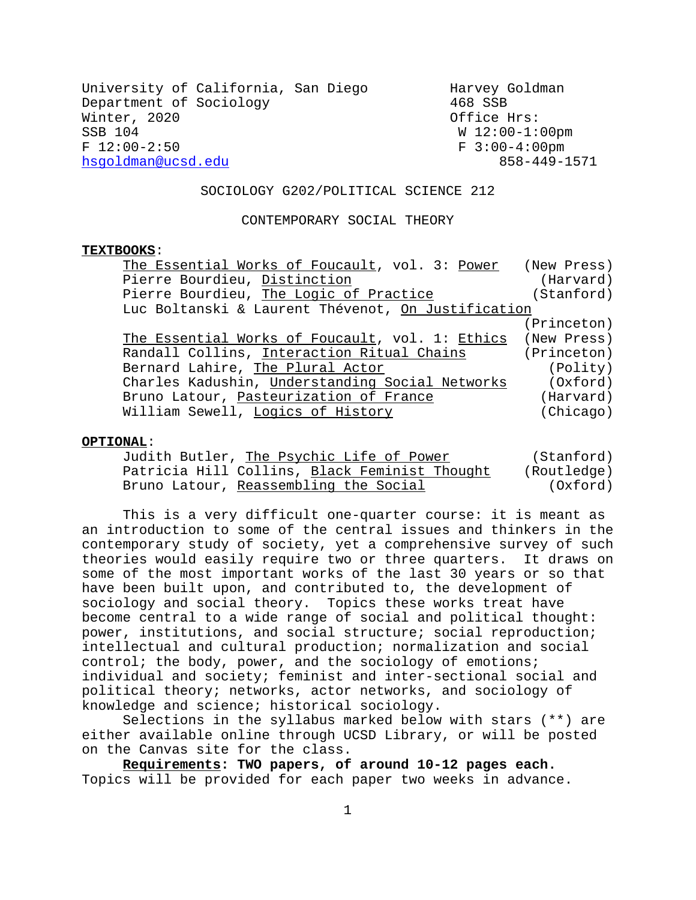| University of California, San Diego<br>Harvey Goldman |
|-------------------------------------------------------|
| 468 SSB                                               |
| Office Hrs:                                           |
| $W12:00-1:00pm$                                       |
| $F = 3:00-4:00$ pm                                    |
| 858-449-1571                                          |
|                                                       |

#### SOCIOLOGY G202/POLITICAL SCIENCE 212

#### CONTEMPORARY SOCIAL THEORY

#### **TEXTBOOKS**:

| The Essential Works of Foucault, vol. 3: Power              | (New Press) |  |  |
|-------------------------------------------------------------|-------------|--|--|
| Pierre Bourdieu, Distinction                                | (Harvard)   |  |  |
| Pierre Bourdieu, The Logic of Practice                      | (Stanford)  |  |  |
| Luc Boltanski & Laurent Thévenot, On Justification          |             |  |  |
|                                                             | (Princeton) |  |  |
| The Essential Works of Foucault, vol. 1: Ethics (New Press) |             |  |  |
| Randall Collins, Interaction Ritual Chains                  | (Princeton) |  |  |
| Bernard Lahire, The Plural Actor                            | (Polity)    |  |  |
| Charles Kadushin, Understanding Social Networks             | (Oxford)    |  |  |
| Bruno Latour, Pasteurization of France                      | (Harvard)   |  |  |
| William Sewell, Logics of History                           | (Chicago)   |  |  |

#### **OPTIONAL**:

| Judith Butler, The Psychic Life of Power      | (Stanford)  |
|-----------------------------------------------|-------------|
| Patricia Hill Collins, Black Feminist Thought | (Routledge) |
| Bruno Latour, Reassembling the Social         | (Oxford)    |

This is a very difficult one-quarter course: it is meant as an introduction to some of the central issues and thinkers in the contemporary study of society, yet a comprehensive survey of such theories would easily require two or three quarters. It draws on some of the most important works of the last 30 years or so that have been built upon, and contributed to, the development of sociology and social theory. Topics these works treat have become central to a wide range of social and political thought: power, institutions, and social structure; social reproduction; intellectual and cultural production; normalization and social control; the body, power, and the sociology of emotions; individual and society; feminist and inter-sectional social and political theory; networks, actor networks, and sociology of knowledge and science; historical sociology.

Selections in the syllabus marked below with stars (\*\*) are either available online through UCSD Library, or will be posted on the Canvas site for the class.

**Requirements: TWO papers, of around 10-12 pages each.** Topics will be provided for each paper two weeks in advance.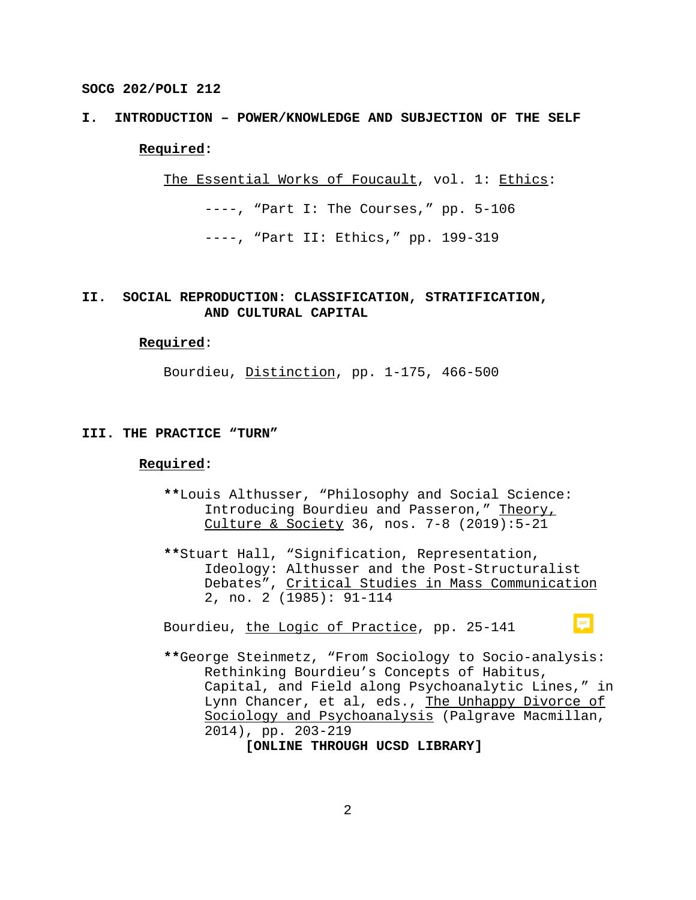# **I. INTRODUCTION – POWER/KNOWLEDGE AND SUBJECTION OF THE SELF Required:**

The Essential Works of Foucault, vol. 1: Ethics:

----, "Part I: The Courses," pp. 5-106

----, "Part II: Ethics," pp. 199-319

# **II. SOCIAL REPRODUCTION: CLASSIFICATION, STRATIFICATION, AND CULTURAL CAPITAL**

#### **Required**:

Bourdieu, Distinction, pp. 1-175, 466-500

#### **III. THE PRACTICE "TURN"**

## **Required:**

- **\*\***Louis Althusser, "Philosophy and Social Science: Introducing Bourdieu and Passeron," Theory, Culture & Society 36, nos. 7-8 (2019):5-21
- **\*\***Stuart Hall, "Signification, Representation, Ideology: Althusser and the Post-Structuralist Debates", Critical Studies in Mass Communication 2, no. 2 (1985): 91-114

Bourdieu, the Logic of Practice, pp. 25-141

**\*\***George Steinmetz, "From Sociology to Socio-analysis: Rethinking Bourdieu's Concepts of Habitus, Capital, and Field along Psychoanalytic Lines," in Lynn Chancer, et al, eds., The Unhappy Divorce of Sociology and Psychoanalysis (Palgrave Macmillan, 2014), pp. 203-219

厚

**[ONLINE THROUGH UCSD LIBRARY]**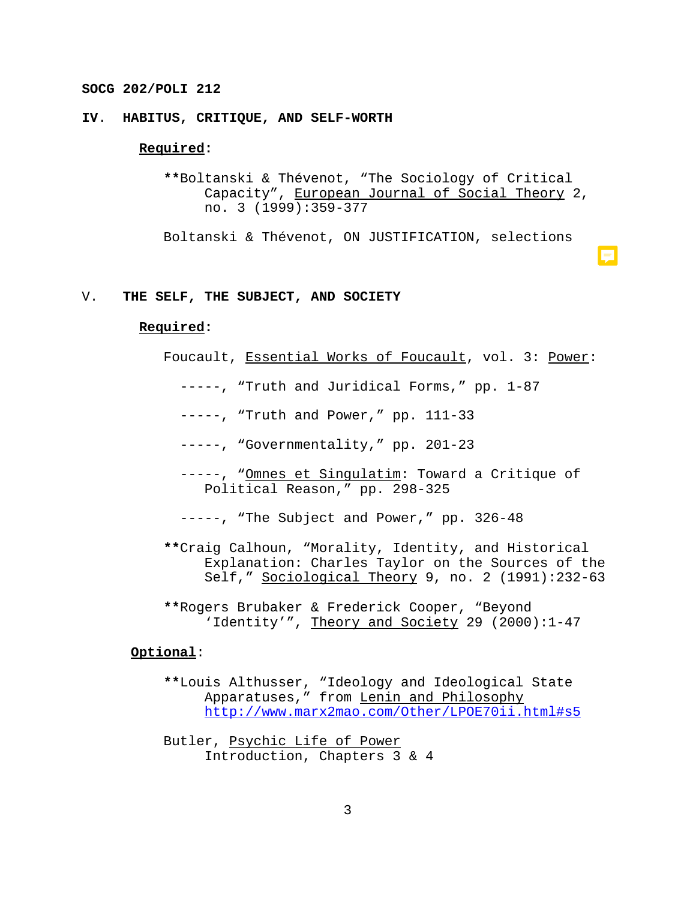# **IV**. **HABITUS, CRITIQUE, AND SELF-WORTH**

## **Required:**

**\*\***Boltanski & Thévenot, "The Sociology of Critical Capacity", European Journal of Social Theory 2, no. 3 (1999):359-377

Boltanski & Thévenot, ON JUSTIFICATION, selections

#### V. **THE SELF, THE SUBJECT, AND SOCIETY**

## **Required:**

- Foucault, Essential Works of Foucault, vol. 3: Power:
	- -----, "Truth and Juridical Forms," pp. 1-87
	- -----, "Truth and Power," pp. 111-33
	- -----, "Governmentality," pp. 201-23
	- -----, "Omnes et Singulatim: Toward a Critique of Political Reason," pp. 298-325
	- -----, "The Subject and Power," pp. 326-48
- **\*\***Craig Calhoun, "Morality, Identity, and Historical Explanation: Charles Taylor on the Sources of the Self," Sociological Theory 9, no. 2 (1991):232-63
- **\*\***Rogers Brubaker & Frederick Cooper, "Beyond 'Identity'", Theory and Society 29 (2000):1-47

#### **Optional**:

- **\*\***Louis Althusser, "Ideology and Ideological State Apparatuses," from Lenin and Philosophy http://www.marx2mao.com/Other/LPOE70ii.html#s5
- Butler, Psychic Life of Power Introduction, Chapters 3 & 4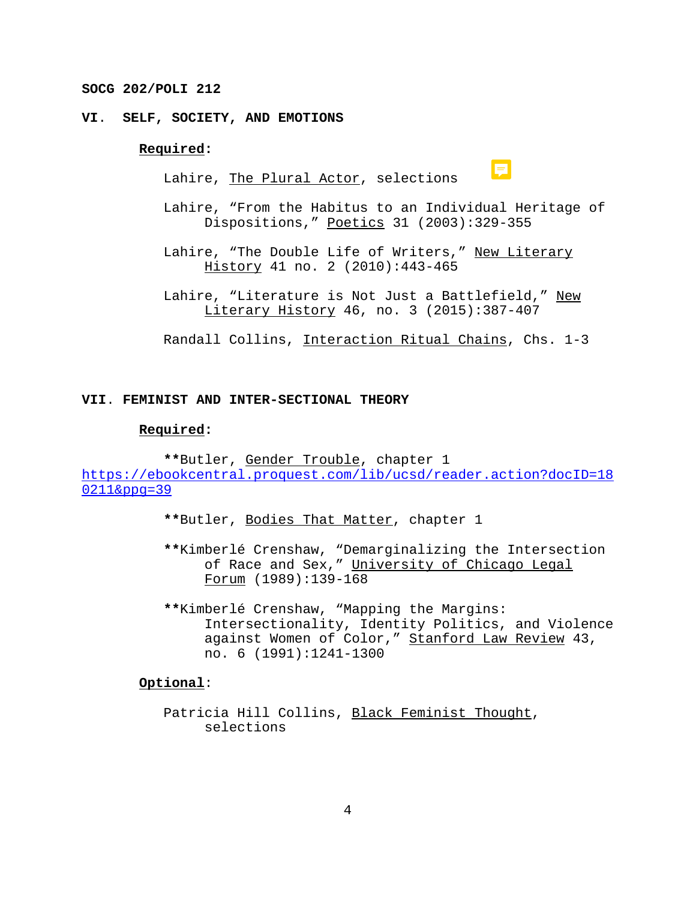# **VI**. **SELF, SOCIETY, AND EMOTIONS**

## **Required:**

Lahire, The Plural Actor, selections

|  | <b>Service Service</b> |
|--|------------------------|
|  |                        |
|  | ________               |
|  |                        |
|  |                        |
|  |                        |
|  |                        |

Lahire, "From the Habitus to an Individual Heritage of Dispositions," Poetics 31 (2003):329-355

Lahire, "The Double Life of Writers," New Literary History 41 no. 2 (2010):443-465

Lahire, "Literature is Not Just a Battlefield," New Literary History 46, no. 3 (2015):387-407

Randall Collins, Interaction Ritual Chains, Chs. 1-3

## **VII**. **FEMINIST AND INTER-SECTIONAL THEORY**

## **Required:**

**\*\***Butler, Gender Trouble, chapter 1 https://ebookcentral.proquest.com/lib/ucsd/reader.action?docID=18 0211&ppg=39

- **\*\***Butler, Bodies That Matter, chapter 1
- **\*\***Kimberlé Crenshaw, "Demarginalizing the Intersection of Race and Sex," University of Chicago Legal Forum (1989):139-168
- **\*\***Kimberlé Crenshaw, "Mapping the Margins: Intersectionality, Identity Politics, and Violence against Women of Color," Stanford Law Review 43, no. 6 (1991):1241-1300

#### **Optional**:

Patricia Hill Collins, Black Feminist Thought, selections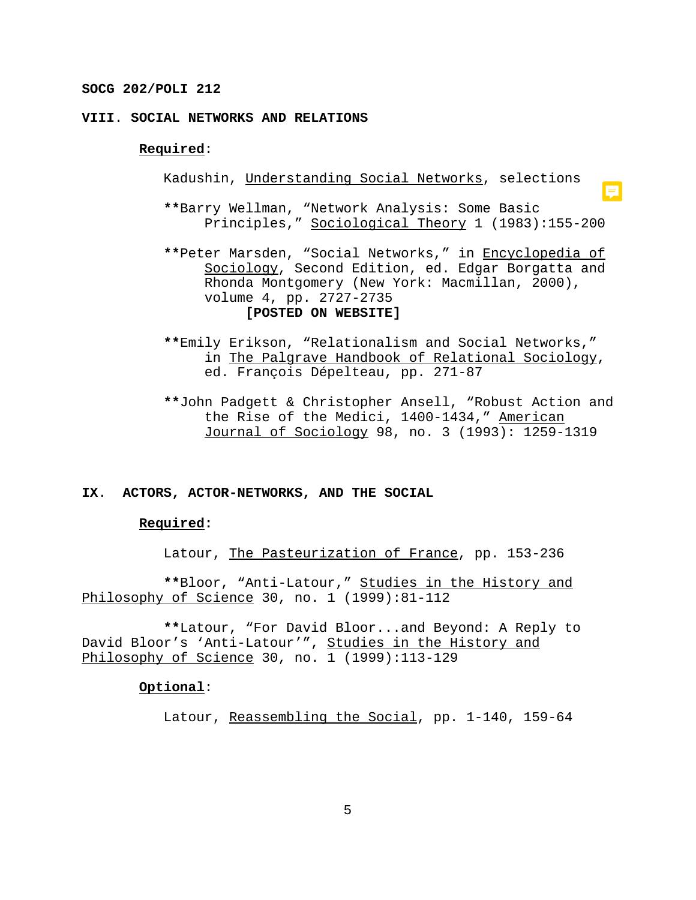# **VIII**. **SOCIAL NETWORKS AND RELATIONS**

## **Required**:

Kadushin, Understanding Social Networks, selections

**\*\***Barry Wellman, "Network Analysis: Some Basic Principles," Sociological Theory 1 (1983):155-200

 $\blacksquare$ 

- **\*\***Peter Marsden, "Social Networks," in Encyclopedia of Sociology, Second Edition, ed. Edgar Borgatta and Rhonda Montgomery (New York: Macmillan, 2000), volume 4, pp. 2727-2735 **[POSTED ON WEBSITE]**
- **\*\***Emily Erikson, "Relationalism and Social Networks," in The Palgrave Handbook of Relational Sociology, ed. François Dépelteau, pp. 271-87
- **\*\***John Padgett & Christopher Ansell, "Robust Action and the Rise of the Medici, 1400-1434," American Journal of Sociology 98, no. 3 (1993): 1259-1319

# **IX**. **ACTORS, ACTOR-NETWORKS, AND THE SOCIAL**

#### **Required:**

Latour, The Pasteurization of France, pp. 153-236

**\*\***Bloor, "Anti-Latour," Studies in the History and Philosophy of Science 30, no. 1 (1999):81-112

**\*\***Latour, "For David Bloor...and Beyond: A Reply to David Bloor's 'Anti-Latour'", Studies in the History and Philosophy of Science 30, no. 1 (1999):113-129

## **Optional**:

Latour, Reassembling the Social, pp. 1-140, 159-64